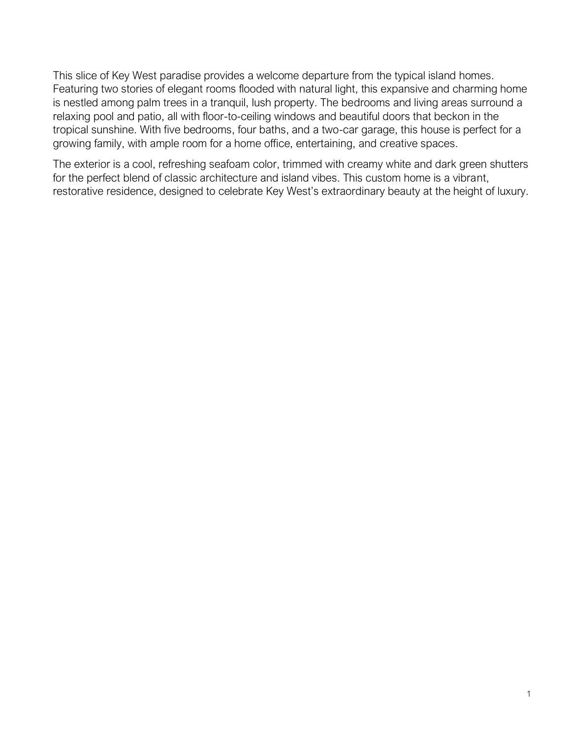This slice of Key West paradise provides a welcome departure from the typical island homes. Featuring two stories of elegant rooms flooded with natural light, this expansive and charming home is nestled among palm trees in a tranquil, lush property. The bedrooms and living areas surround a relaxing pool and patio, all with floor-to-ceiling windows and beautiful doors that beckon in the tropical sunshine. With five bedrooms, four baths, and a two-car garage, this house is perfect for a growing family, with ample room for a home office, entertaining, and creative spaces.

The exterior is a cool, refreshing seafoam color, trimmed with creamy white and dark green shutters for the perfect blend of classic architecture and island vibes. This custom home is a vibrant, restorative residence, designed to celebrate Key West's extraordinary beauty at the height of luxury.